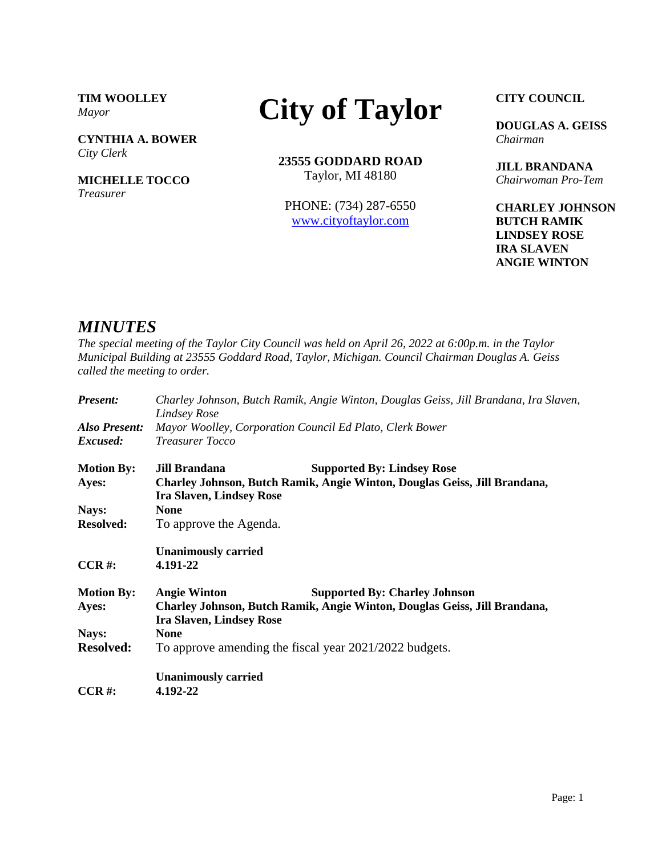**TIM WOOLLEY** *Mayor*

**CYNTHIA A. BOWER** *City Clerk*

**MICHELLE TOCCO** *Treasurer*

## **City of Taylor**

**23555 GODDARD ROAD** Taylor, MI 48180

PHONE: (734) 287-6550 [www.cityoftaylor.com](http://cityoftaylor.com/)

**CITY COUNCIL**

**DOUGLAS A. GEISS** *Chairman*

**JILL BRANDANA** *Chairwoman Pro-Tem*

**CHARLEY JOHNSON BUTCH RAMIK LINDSEY ROSE IRA SLAVEN ANGIE WINTON**

## *MINUTES*

*The special meeting of the Taylor City Council was held on April 26, 2022 at 6:00p.m. in the Taylor Municipal Building at 23555 Goddard Road, Taylor, Michigan. Council Chairman Douglas A. Geiss called the meeting to order.*

| <b>Present:</b>   | Charley Johnson, Butch Ramik, Angie Winton, Douglas Geiss, Jill Brandana, Ira Slaven,<br>Lindsey Rose        |                                                          |  |  |
|-------------------|--------------------------------------------------------------------------------------------------------------|----------------------------------------------------------|--|--|
| Also Present:     |                                                                                                              | Mayor Woolley, Corporation Council Ed Plato, Clerk Bower |  |  |
| Excused:          | <b>Treasurer Tocco</b>                                                                                       |                                                          |  |  |
| <b>Motion By:</b> | <b>Jill Brandana</b>                                                                                         | <b>Supported By: Lindsey Rose</b>                        |  |  |
| Ayes:             | Charley Johnson, Butch Ramik, Angie Winton, Douglas Geiss, Jill Brandana,<br><b>Ira Slaven, Lindsey Rose</b> |                                                          |  |  |
| Nays:             | <b>None</b>                                                                                                  |                                                          |  |  |
| <b>Resolved:</b>  | To approve the Agenda.                                                                                       |                                                          |  |  |
|                   | <b>Unanimously carried</b>                                                                                   |                                                          |  |  |
| $CCR$ #:          | 4.191-22                                                                                                     |                                                          |  |  |
| <b>Motion By:</b> | <b>Angie Winton</b>                                                                                          | <b>Supported By: Charley Johnson</b>                     |  |  |
| Ayes:             | Charley Johnson, Butch Ramik, Angie Winton, Douglas Geiss, Jill Brandana,<br><b>Ira Slaven, Lindsey Rose</b> |                                                          |  |  |
| Nays:             | <b>None</b>                                                                                                  |                                                          |  |  |
| <b>Resolved:</b>  | To approve amending the fiscal year 2021/2022 budgets.                                                       |                                                          |  |  |
|                   | <b>Unanimously carried</b>                                                                                   |                                                          |  |  |
| $CCR$ #:          | 4.192-22                                                                                                     |                                                          |  |  |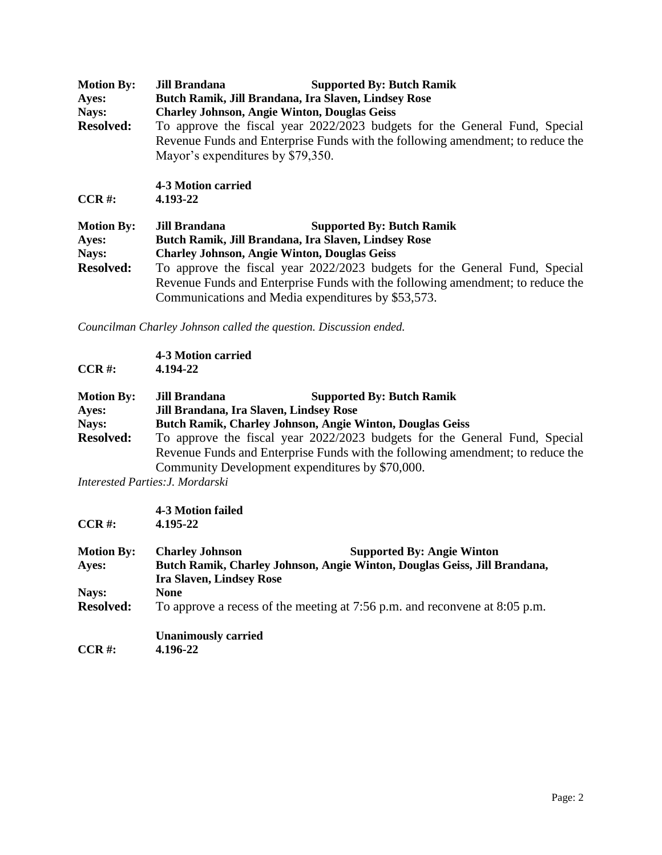| <b>Motion By:</b><br>Ayes: | <b>Jill Brandana</b><br><b>Supported By: Butch Ramik</b><br>Butch Ramik, Jill Brandana, Ira Slaven, Lindsey Rose |  |  |  |
|----------------------------|------------------------------------------------------------------------------------------------------------------|--|--|--|
| Nays:                      | <b>Charley Johnson, Angie Winton, Douglas Geiss</b>                                                              |  |  |  |
| <b>Resolved:</b>           | To approve the fiscal year 2022/2023 budgets for the General Fund, Special                                       |  |  |  |
|                            | Revenue Funds and Enterprise Funds with the following amendment; to reduce the                                   |  |  |  |
|                            | Mayor's expenditures by \$79,350.                                                                                |  |  |  |
|                            | <b>4-3 Motion carried</b>                                                                                        |  |  |  |
| $CCR$ #:                   | 4.193-22                                                                                                         |  |  |  |
| <b>Motion By:</b>          | <b>Supported By: Butch Ramik</b><br>Jill Brandana                                                                |  |  |  |
| Ayes:                      | Butch Ramik, Jill Brandana, Ira Slaven, Lindsey Rose                                                             |  |  |  |
| Nays:                      | <b>Charley Johnson, Angie Winton, Douglas Geiss</b>                                                              |  |  |  |
| <b>Resolved:</b>           | To approve the fiscal year 2022/2023 budgets for the General Fund, Special                                       |  |  |  |
|                            | Revenue Funds and Enterprise Funds with the following amendment; to reduce the                                   |  |  |  |
|                            | Communications and Media expenditures by \$53,573.                                                               |  |  |  |

*Councilman Charley Johnson called the question. Discussion ended.* 

| 4-3 Motion carried<br>4.194-22                                                 |                                                                            |  |
|--------------------------------------------------------------------------------|----------------------------------------------------------------------------|--|
| <b>Jill Brandana</b>                                                           | <b>Supported By: Butch Ramik</b>                                           |  |
| Jill Brandana, Ira Slaven, Lindsey Rose                                        |                                                                            |  |
| Butch Ramik, Charley Johnson, Angie Winton, Douglas Geiss                      |                                                                            |  |
|                                                                                | To approve the fiscal year 2022/2023 budgets for the General Fund, Special |  |
| Revenue Funds and Enterprise Funds with the following amendment; to reduce the |                                                                            |  |
|                                                                                | Community Development expenditures by \$70,000.                            |  |
|                                                                                |                                                                            |  |

*Interested Parties:J. Mordarski*

|                   | <b>4-3 Motion failed</b>                                                                                     |                                   |  |
|-------------------|--------------------------------------------------------------------------------------------------------------|-----------------------------------|--|
| $CCR$ #:          | 4.195-22                                                                                                     |                                   |  |
| <b>Motion By:</b> | <b>Charley Johnson</b>                                                                                       | <b>Supported By: Angie Winton</b> |  |
| Ayes:             | Butch Ramik, Charley Johnson, Angie Winton, Douglas Geiss, Jill Brandana,<br><b>Ira Slaven, Lindsey Rose</b> |                                   |  |
|                   |                                                                                                              |                                   |  |
| Nays:             | <b>None</b>                                                                                                  |                                   |  |
| <b>Resolved:</b>  | To approve a recess of the meeting at 7:56 p.m. and reconvene at 8:05 p.m.                                   |                                   |  |
|                   | <b>Unanimously carried</b>                                                                                   |                                   |  |
| $CCR$ #:          | 4.196-22                                                                                                     |                                   |  |